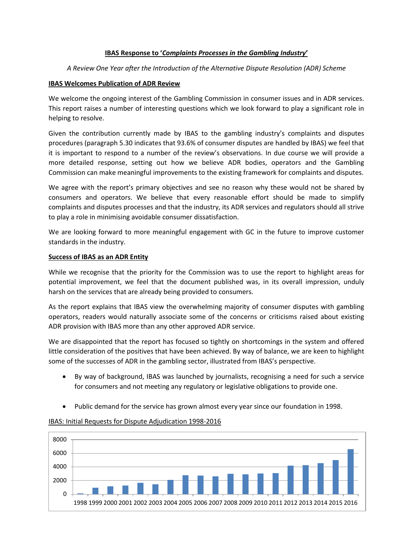### **IBAS Response to '***Complaints Processes in the Gambling Industry***'**

## *A Review One Year after the Introduction of the Alternative Dispute Resolution (ADR) Scheme*

## **IBAS Welcomes Publication of ADR Review**

We welcome the ongoing interest of the Gambling Commission in consumer issues and in ADR services. This report raises a number of interesting questions which we look forward to play a significant role in helping to resolve.

Given the contribution currently made by IBAS to the gambling industry's complaints and disputes procedures (paragraph 5.30 indicates that 93.6% of consumer disputes are handled by IBAS) we feel that it is important to respond to a number of the review's observations. In due course we will provide a more detailed response, setting out how we believe ADR bodies, operators and the Gambling Commission can make meaningful improvements to the existing framework for complaints and disputes.

We agree with the report's primary objectives and see no reason why these would not be shared by consumers and operators. We believe that every reasonable effort should be made to simplify complaints and disputes processes and that the industry, its ADR services and regulators should all strive to play a role in minimising avoidable consumer dissatisfaction.

We are looking forward to more meaningful engagement with GC in the future to improve customer standards in the industry.

### **Success of IBAS as an ADR Entity**

While we recognise that the priority for the Commission was to use the report to highlight areas for potential improvement, we feel that the document published was, in its overall impression, unduly harsh on the services that are already being provided to consumers.

As the report explains that IBAS view the overwhelming majority of consumer disputes with gambling operators, readers would naturally associate some of the concerns or criticisms raised about existing ADR provision with IBAS more than any other approved ADR service.

We are disappointed that the report has focused so tightly on shortcomings in the system and offered little consideration of the positives that have been achieved. By way of balance, we are keen to highlight some of the successes of ADR in the gambling sector, illustrated from IBAS's perspective.

- By way of background, IBAS was launched by journalists, recognising a need for such a service for consumers and not meeting any regulatory or legislative obligations to provide one.
- Public demand for the service has grown almost every year since our foundation in 1998.



# IBAS: Initial Requests for Dispute Adjudication 1998-2016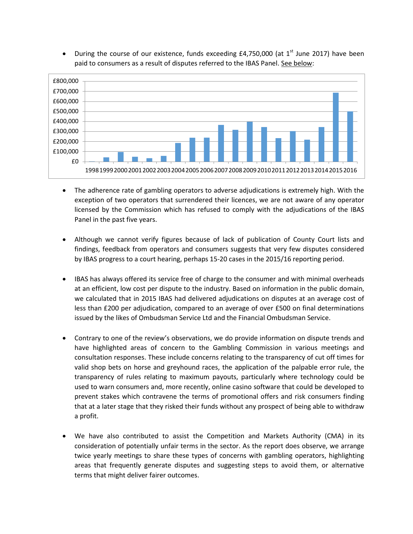

• During the course of our existence, funds exceeding  $E4,750,000$  (at  $1<sup>st</sup>$  June 2017) have been paid to consumers as a result of disputes referred to the IBAS Panel. See below:

- The adherence rate of gambling operators to adverse adjudications is extremely high. With the exception of two operators that surrendered their licences, we are not aware of any operator licensed by the Commission which has refused to comply with the adjudications of the IBAS Panel in the past five years.
- Although we cannot verify figures because of lack of publication of County Court lists and findings, feedback from operators and consumers suggests that very few disputes considered by IBAS progress to a court hearing, perhaps 15-20 cases in the 2015/16 reporting period.
- IBAS has always offered its service free of charge to the consumer and with minimal overheads at an efficient, low cost per dispute to the industry. Based on information in the public domain, we calculated that in 2015 IBAS had delivered adjudications on disputes at an average cost of less than £200 per adjudication, compared to an average of over £500 on final determinations issued by the likes of Ombudsman Service Ltd and the Financial Ombudsman Service.
- Contrary to one of the review's observations, we do provide information on dispute trends and have highlighted areas of concern to the Gambling Commission in various meetings and consultation responses. These include concerns relating to the transparency of cut off times for valid shop bets on horse and greyhound races, the application of the palpable error rule, the transparency of rules relating to maximum payouts, particularly where technology could be used to warn consumers and, more recently, online casino software that could be developed to prevent stakes which contravene the terms of promotional offers and risk consumers finding that at a later stage that they risked their funds without any prospect of being able to withdraw a profit.
- We have also contributed to assist the Competition and Markets Authority (CMA) in its consideration of potentially unfair terms in the sector. As the report does observe, we arrange twice yearly meetings to share these types of concerns with gambling operators, highlighting areas that frequently generate disputes and suggesting steps to avoid them, or alternative terms that might deliver fairer outcomes.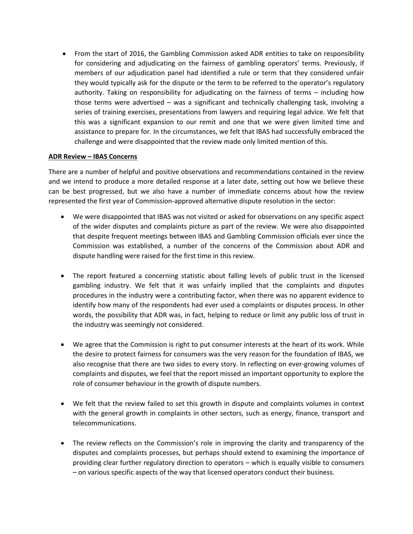From the start of 2016, the Gambling Commission asked ADR entities to take on responsibility for considering and adjudicating on the fairness of gambling operators' terms. Previously, if members of our adjudication panel had identified a rule or term that they considered unfair they would typically ask for the dispute or the term to be referred to the operator's regulatory authority. Taking on responsibility for adjudicating on the fairness of terms – including how those terms were advertised – was a significant and technically challenging task, involving a series of training exercises, presentations from lawyers and requiring legal advice. We felt that this was a significant expansion to our remit and one that we were given limited time and assistance to prepare for. In the circumstances, we felt that IBAS had successfully embraced the challenge and were disappointed that the review made only limited mention of this.

### **ADR Review – IBAS Concerns**

There are a number of helpful and positive observations and recommendations contained in the review and we intend to produce a more detailed response at a later date, setting out how we believe these can be best progressed, but we also have a number of immediate concerns about how the review represented the first year of Commission-approved alternative dispute resolution in the sector:

- We were disappointed that IBAS was not visited or asked for observations on any specific aspect of the wider disputes and complaints picture as part of the review. We were also disappointed that despite frequent meetings between IBAS and Gambling Commission officials ever since the Commission was established, a number of the concerns of the Commission about ADR and dispute handling were raised for the first time in this review.
- The report featured a concerning statistic about falling levels of public trust in the licensed gambling industry. We felt that it was unfairly implied that the complaints and disputes procedures in the industry were a contributing factor, when there was no apparent evidence to identify how many of the respondents had ever used a complaints or disputes process. In other words, the possibility that ADR was, in fact, helping to reduce or limit any public loss of trust in the industry was seemingly not considered.
- We agree that the Commission is right to put consumer interests at the heart of its work. While the desire to protect fairness for consumers was the very reason for the foundation of IBAS, we also recognise that there are two sides to every story. In reflecting on ever-growing volumes of complaints and disputes, we feel that the report missed an important opportunity to explore the role of consumer behaviour in the growth of dispute numbers.
- We felt that the review failed to set this growth in dispute and complaints volumes in context with the general growth in complaints in other sectors, such as energy, finance, transport and telecommunications.
- The review reflects on the Commission's role in improving the clarity and transparency of the disputes and complaints processes, but perhaps should extend to examining the importance of providing clear further regulatory direction to operators – which is equally visible to consumers – on various specific aspects of the way that licensed operators conduct their business.